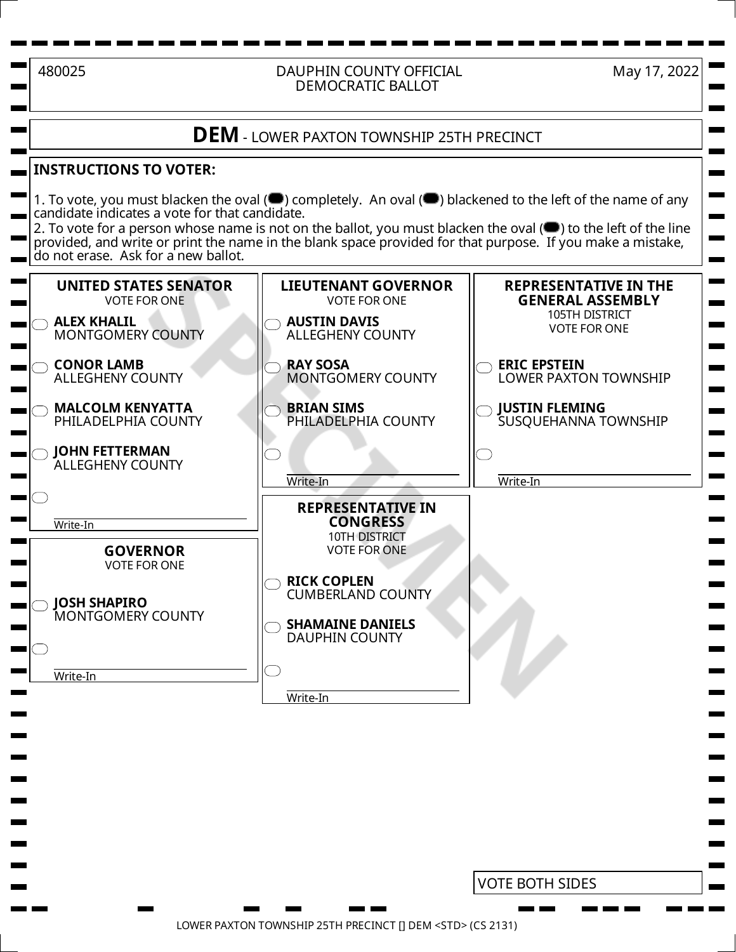## 480025 DAUPHIN COUNTY OFFICIAL DEMOCRATIC BALLOT

May 17, 2022

## **DEM** - LOWER PAXTON TOWNSHIP 25TH PRECINCT

## **INSTRUCTIONS TO VOTER:**

1. To vote, you must blacken the oval  $(\blacksquare)$  completely. An oval  $(\blacksquare)$  blackened to the left of the name of any candidate indicates a vote for that candidate.

2. To vote for a person whose name is not on the ballot, you must blacken the oval  $($ **)** to the left of the line provided, and write or print the name in the blank space provided for that purpose. If you make a mistake, do not erase. Ask for a new ballot.